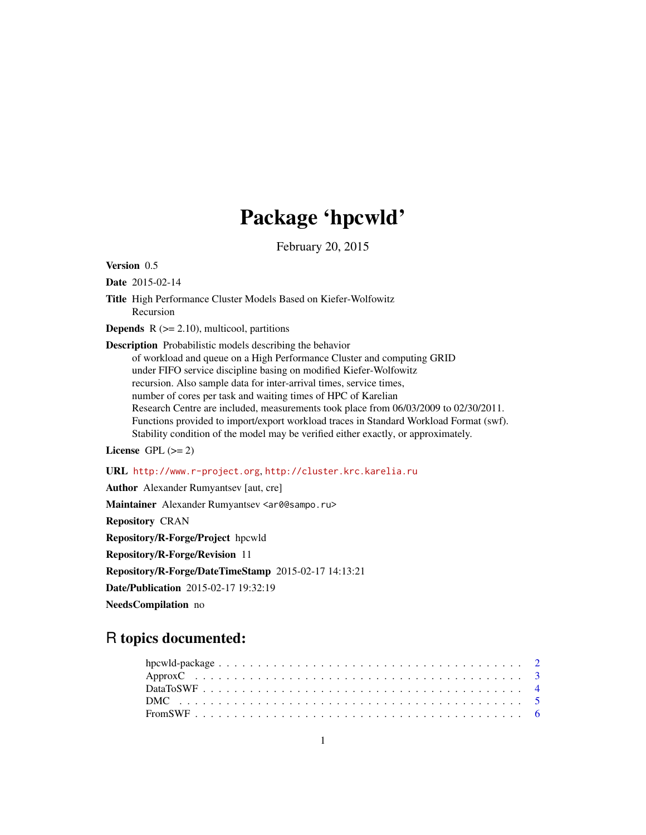# Package 'hpcwld'

February 20, 2015

Version 0.5

Date 2015-02-14

Title High Performance Cluster Models Based on Kiefer-Wolfowitz Recursion

**Depends**  $R$  ( $>= 2.10$ ), multicool, partitions

Description Probabilistic models describing the behavior of workload and queue on a High Performance Cluster and computing GRID under FIFO service discipline basing on modified Kiefer-Wolfowitz recursion. Also sample data for inter-arrival times, service times, number of cores per task and waiting times of HPC of Karelian Research Centre are included, measurements took place from 06/03/2009 to 02/30/2011. Functions provided to import/export workload traces in Standard Workload Format (swf). Stability condition of the model may be verified either exactly, or approximately.

License GPL  $(>= 2)$ 

URL <http://www.r-project.org>, <http://cluster.krc.karelia.ru>

Author Alexander Rumyantsev [aut, cre]

Maintainer Alexander Rumyantsev <ar0@sampo.ru>

Repository CRAN

Repository/R-Forge/Project hpcwld

Repository/R-Forge/Revision 11

Repository/R-Forge/DateTimeStamp 2015-02-17 14:13:21

Date/Publication 2015-02-17 19:32:19

NeedsCompilation no

# R topics documented: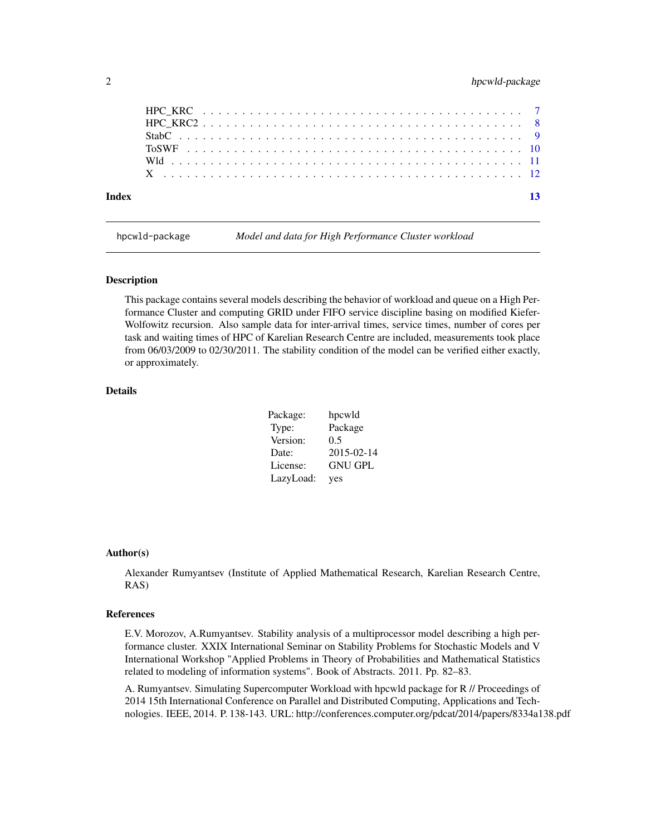<span id="page-1-0"></span>

| Index |  |  |  |
|-------|--|--|--|
|       |  |  |  |
|       |  |  |  |
|       |  |  |  |
|       |  |  |  |
|       |  |  |  |
|       |  |  |  |

hpcwld-package *Model and data for High Performance Cluster workload*

#### Description

This package contains several models describing the behavior of workload and queue on a High Performance Cluster and computing GRID under FIFO service discipline basing on modified Kiefer-Wolfowitz recursion. Also sample data for inter-arrival times, service times, number of cores per task and waiting times of HPC of Karelian Research Centre are included, measurements took place from 06/03/2009 to 02/30/2011. The stability condition of the model can be verified either exactly, or approximately.

# Details

| Package:  | hpcwld         |
|-----------|----------------|
| Type:     | Package        |
| Version:  | 0.5            |
| Date:     | 2015-02-14     |
| License:  | <b>GNU GPL</b> |
| LazyLoad: | yes            |

# Author(s)

Alexander Rumyantsev (Institute of Applied Mathematical Research, Karelian Research Centre, RAS)

# References

E.V. Morozov, A.Rumyantsev. Stability analysis of a multiprocessor model describing a high performance cluster. XXIX International Seminar on Stability Problems for Stochastic Models and V International Workshop "Applied Problems in Theory of Probabilities and Mathematical Statistics related to modeling of information systems". Book of Abstracts. 2011. Pp. 82–83.

A. Rumyantsev. Simulating Supercomputer Workload with hpcwld package for R // Proceedings of 2014 15th International Conference on Parallel and Distributed Computing, Applications and Technologies. IEEE, 2014. P. 138-143. URL: http://conferences.computer.org/pdcat/2014/papers/8334a138.pdf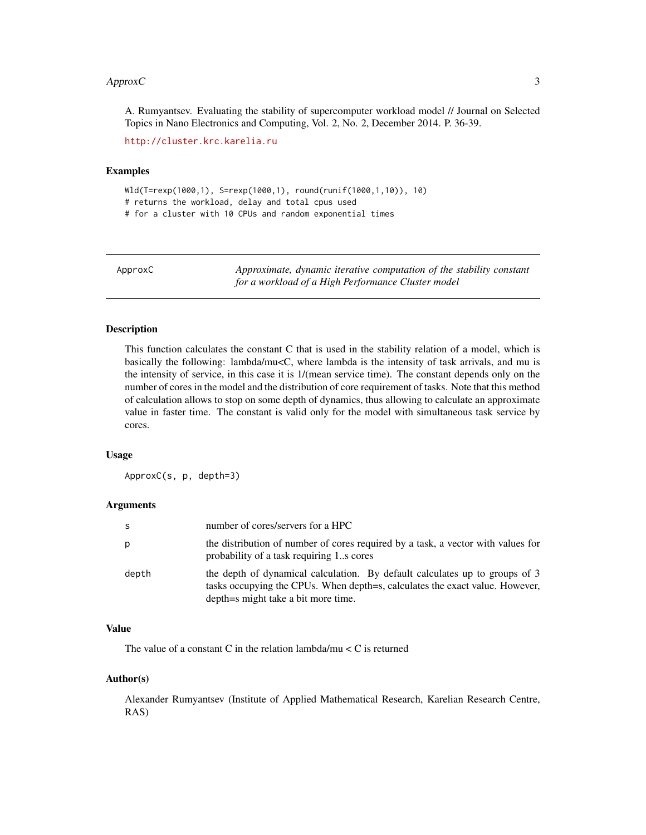#### <span id="page-2-0"></span> $A$ pprox $C$  3

A. Rumyantsev. Evaluating the stability of supercomputer workload model // Journal on Selected Topics in Nano Electronics and Computing, Vol. 2, No. 2, December 2014. P. 36-39.

<http://cluster.krc.karelia.ru>

# Examples

Wld(T=rexp(1000,1), S=rexp(1000,1), round(runif(1000,1,10)), 10) # returns the workload, delay and total cpus used # for a cluster with 10 CPUs and random exponential times

ApproxC *Approximate, dynamic iterative computation of the stability constant for a workload of a High Performance Cluster model*

# Description

This function calculates the constant C that is used in the stability relation of a model, which is basically the following: lambda/mu<C, where lambda is the intensity of task arrivals, and mu is the intensity of service, in this case it is 1/(mean service time). The constant depends only on the number of cores in the model and the distribution of core requirement of tasks. Note that this method of calculation allows to stop on some depth of dynamics, thus allowing to calculate an approximate value in faster time. The constant is valid only for the model with simultaneous task service by cores.

#### Usage

ApproxC(s, p, depth=3)

#### **Arguments**

| S     | number of cores/servers for a HPC                                                                                                                                                                  |
|-------|----------------------------------------------------------------------------------------------------------------------------------------------------------------------------------------------------|
| р     | the distribution of number of cores required by a task, a vector with values for<br>probability of a task requiring 1s cores                                                                       |
| depth | the depth of dynamical calculation. By default calculates up to groups of 3<br>tasks occupying the CPUs. When depth=s, calculates the exact value. However,<br>depth=s might take a bit more time. |

# Value

The value of a constant C in the relation lambda/mu  $\lt C$  is returned

# Author(s)

Alexander Rumyantsev (Institute of Applied Mathematical Research, Karelian Research Centre, RAS)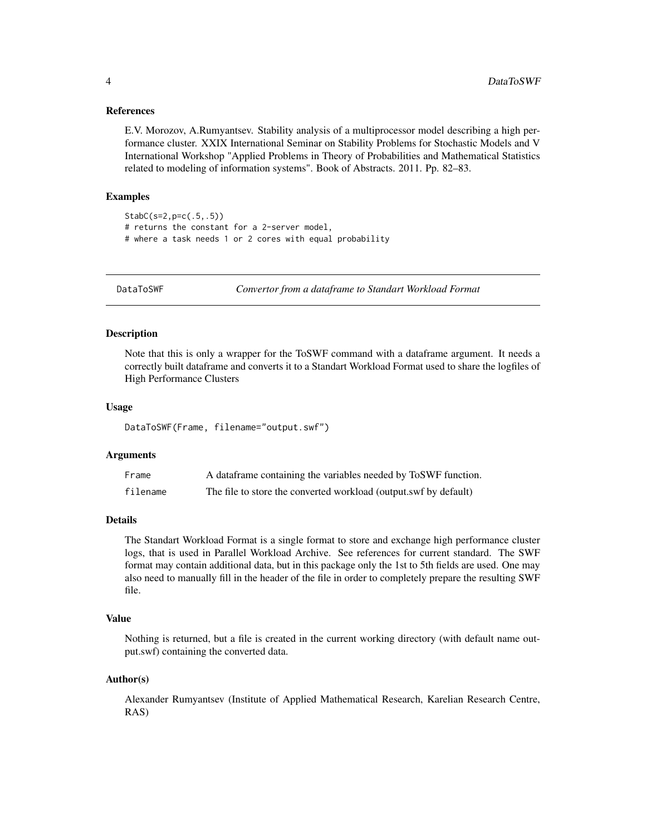# <span id="page-3-0"></span>References

E.V. Morozov, A.Rumyantsev. Stability analysis of a multiprocessor model describing a high performance cluster. XXIX International Seminar on Stability Problems for Stochastic Models and V International Workshop "Applied Problems in Theory of Probabilities and Mathematical Statistics related to modeling of information systems". Book of Abstracts. 2011. Pp. 82–83.

# Examples

StabC(s=2,p=c(.5,.5)) # returns the constant for a 2-server model, # where a task needs 1 or 2 cores with equal probability

<span id="page-3-1"></span>

DataToSWF *Convertor from a dataframe to Standart Workload Format*

# **Description**

Note that this is only a wrapper for the ToSWF command with a dataframe argument. It needs a correctly built dataframe and converts it to a Standart Workload Format used to share the logfiles of High Performance Clusters

# Usage

DataToSWF(Frame, filename="output.swf")

#### Arguments

| Frame    | A data frame containing the variables needed by ToSWF function.  |
|----------|------------------------------------------------------------------|
| filename | The file to store the converted workload (output.swf by default) |

## Details

The Standart Workload Format is a single format to store and exchange high performance cluster logs, that is used in Parallel Workload Archive. See references for current standard. The SWF format may contain additional data, but in this package only the 1st to 5th fields are used. One may also need to manually fill in the header of the file in order to completely prepare the resulting SWF file.

#### Value

Nothing is returned, but a file is created in the current working directory (with default name output.swf) containing the converted data.

# Author(s)

Alexander Rumyantsev (Institute of Applied Mathematical Research, Karelian Research Centre, RAS)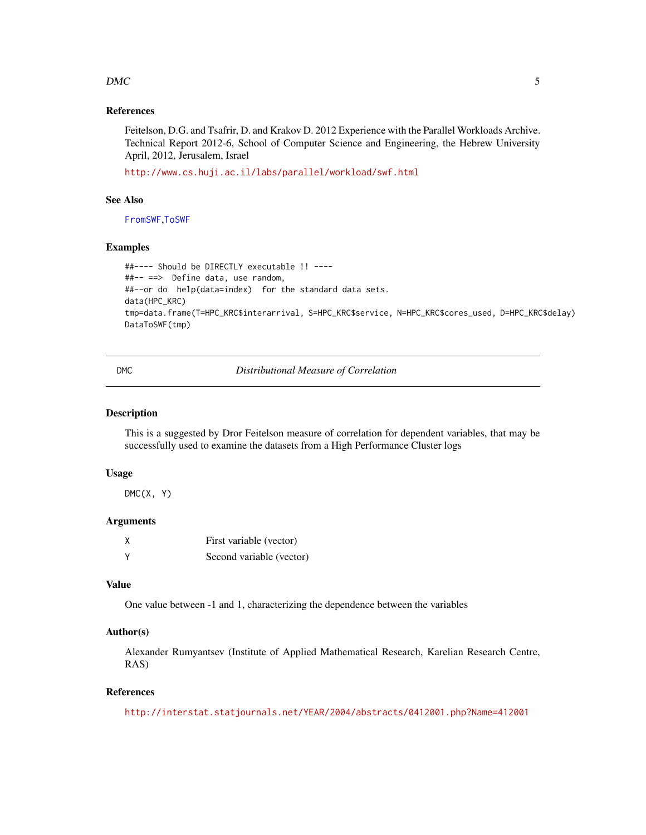# <span id="page-4-0"></span> $DMC$  5

# References

Feitelson, D.G. and Tsafrir, D. and Krakov D. 2012 Experience with the Parallel Workloads Archive. Technical Report 2012-6, School of Computer Science and Engineering, the Hebrew University April, 2012, Jerusalem, Israel

<http://www.cs.huji.ac.il/labs/parallel/workload/swf.html>

# See Also

[FromSWF](#page-5-1),[ToSWF](#page-9-1)

#### Examples

```
##---- Should be DIRECTLY executable !! ----
##-- ==> Define data, use random,
##--or do help(data=index) for the standard data sets.
data(HPC_KRC)
tmp=data.frame(T=HPC_KRC$interarrival, S=HPC_KRC$service, N=HPC_KRC$cores_used, D=HPC_KRC$delay)
DataToSWF(tmp)
```
DMC *Distributional Measure of Correlation*

# Description

This is a suggested by Dror Feitelson measure of correlation for dependent variables, that may be successfully used to examine the datasets from a High Performance Cluster logs

#### Usage

 $DMC(X, Y)$ 

# Arguments

| Χ | First variable (vector)  |
|---|--------------------------|
| v | Second variable (vector) |

# Value

One value between -1 and 1, characterizing the dependence between the variables

# Author(s)

Alexander Rumyantsev (Institute of Applied Mathematical Research, Karelian Research Centre, RAS)

# References

<http://interstat.statjournals.net/YEAR/2004/abstracts/0412001.php?Name=412001>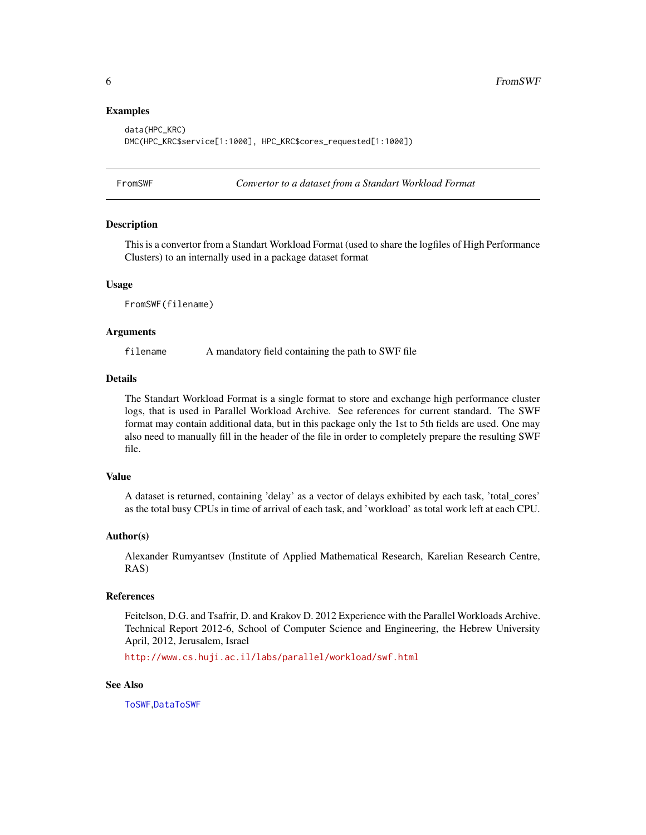# Examples

```
data(HPC_KRC)
DMC(HPC_KRC$service[1:1000], HPC_KRC$cores_requested[1:1000])
```
<span id="page-5-1"></span>

FromSWF *Convertor to a dataset from a Standart Workload Format*

#### Description

This is a convertor from a Standart Workload Format (used to share the logfiles of High Performance Clusters) to an internally used in a package dataset format

### Usage

FromSWF(filename)

# Arguments

filename A mandatory field containing the path to SWF file

# Details

The Standart Workload Format is a single format to store and exchange high performance cluster logs, that is used in Parallel Workload Archive. See references for current standard. The SWF format may contain additional data, but in this package only the 1st to 5th fields are used. One may also need to manually fill in the header of the file in order to completely prepare the resulting SWF file.

# Value

A dataset is returned, containing 'delay' as a vector of delays exhibited by each task, 'total\_cores' as the total busy CPUs in time of arrival of each task, and 'workload' as total work left at each CPU.

#### Author(s)

Alexander Rumyantsev (Institute of Applied Mathematical Research, Karelian Research Centre, RAS)

#### References

Feitelson, D.G. and Tsafrir, D. and Krakov D. 2012 Experience with the Parallel Workloads Archive. Technical Report 2012-6, School of Computer Science and Engineering, the Hebrew University April, 2012, Jerusalem, Israel

<http://www.cs.huji.ac.il/labs/parallel/workload/swf.html>

# See Also

[ToSWF](#page-9-1),[DataToSWF](#page-3-1)

<span id="page-5-0"></span>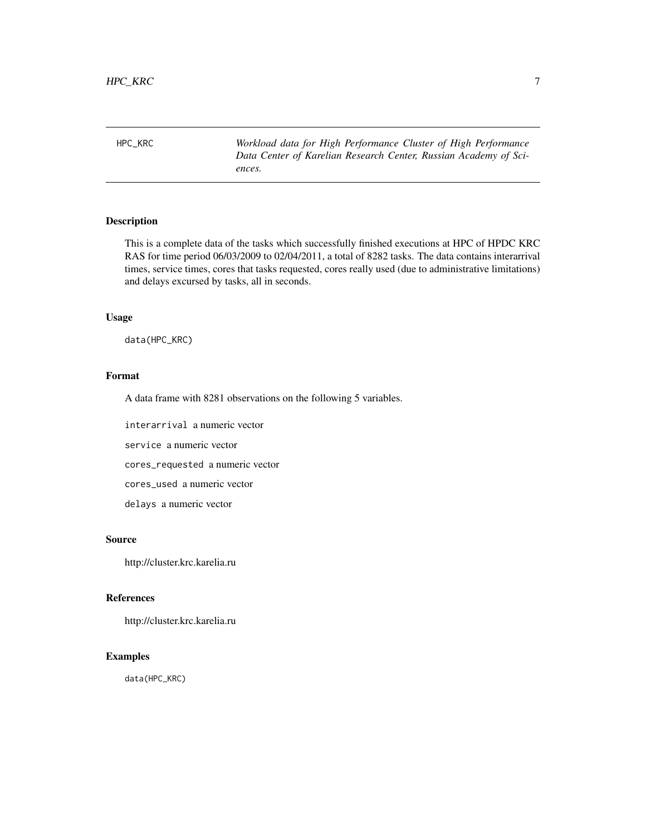<span id="page-6-0"></span>HPC\_KRC *Workload data for High Performance Cluster of High Performance Data Center of Karelian Research Center, Russian Academy of Sciences.*

# Description

This is a complete data of the tasks which successfully finished executions at HPC of HPDC KRC RAS for time period 06/03/2009 to 02/04/2011, a total of 8282 tasks. The data contains interarrival times, service times, cores that tasks requested, cores really used (due to administrative limitations) and delays excursed by tasks, all in seconds.

# Usage

data(HPC\_KRC)

# Format

A data frame with 8281 observations on the following 5 variables.

interarrival a numeric vector

service a numeric vector

cores\_requested a numeric vector

cores\_used a numeric vector

delays a numeric vector

# Source

http://cluster.krc.karelia.ru

# References

http://cluster.krc.karelia.ru

# Examples

data(HPC\_KRC)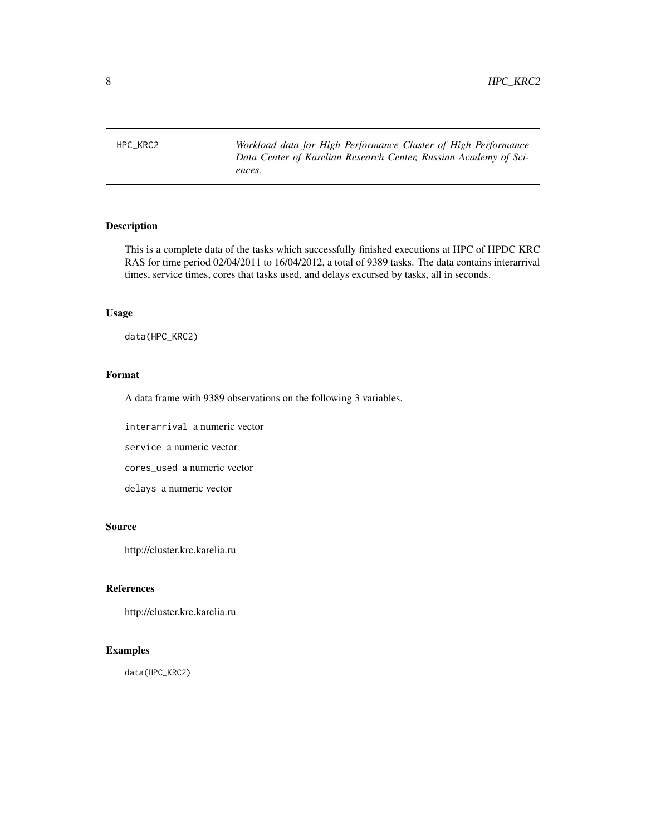<span id="page-7-0"></span>HPC\_KRC2 *Workload data for High Performance Cluster of High Performance Data Center of Karelian Research Center, Russian Academy of Sciences.*

# Description

This is a complete data of the tasks which successfully finished executions at HPC of HPDC KRC RAS for time period 02/04/2011 to 16/04/2012, a total of 9389 tasks. The data contains interarrival times, service times, cores that tasks used, and delays excursed by tasks, all in seconds.

# Usage

data(HPC\_KRC2)

# Format

A data frame with 9389 observations on the following 3 variables.

interarrival a numeric vector

service a numeric vector

cores\_used a numeric vector

delays a numeric vector

# Source

http://cluster.krc.karelia.ru

# References

http://cluster.krc.karelia.ru

# Examples

data(HPC\_KRC2)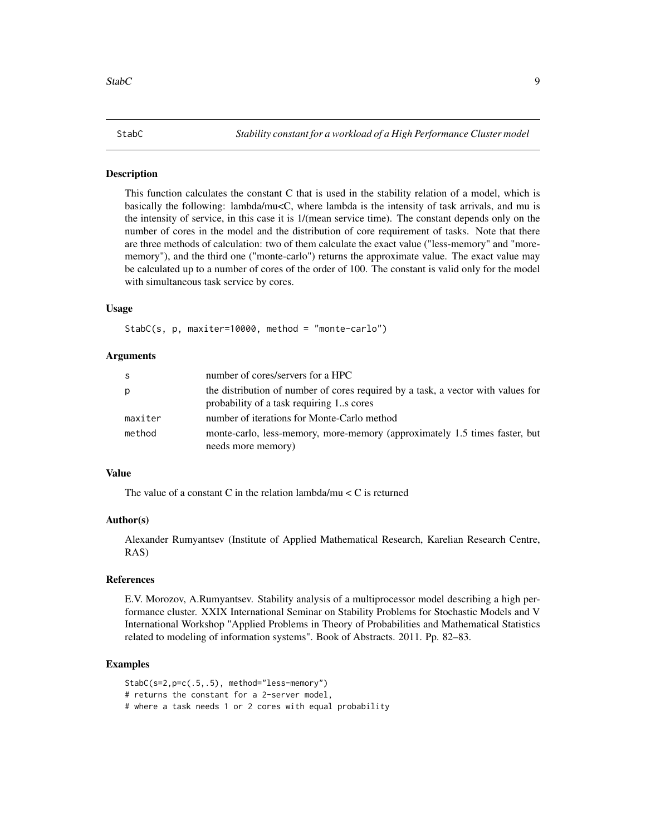# <span id="page-8-0"></span>Description

This function calculates the constant C that is used in the stability relation of a model, which is basically the following: lambda/mu<C, where lambda is the intensity of task arrivals, and mu is the intensity of service, in this case it is 1/(mean service time). The constant depends only on the number of cores in the model and the distribution of core requirement of tasks. Note that there are three methods of calculation: two of them calculate the exact value ("less-memory" and "morememory"), and the third one ("monte-carlo") returns the approximate value. The exact value may be calculated up to a number of cores of the order of 100. The constant is valid only for the model with simultaneous task service by cores.

# Usage

StabC(s, p, maxiter=10000, method = "monte-carlo")

#### Arguments

| -S      | number of cores/servers for a HPC                                                                                            |
|---------|------------------------------------------------------------------------------------------------------------------------------|
| p       | the distribution of number of cores required by a task, a vector with values for<br>probability of a task requiring 1s cores |
| maxiter | number of iterations for Monte-Carlo method                                                                                  |
| method  | monte-carlo, less-memory, more-memory (approximately 1.5 times faster, but<br>needs more memory)                             |

# Value

The value of a constant C in the relation lambda/mu  $\lt C$  is returned

## Author(s)

Alexander Rumyantsev (Institute of Applied Mathematical Research, Karelian Research Centre, RAS)

# References

E.V. Morozov, A.Rumyantsev. Stability analysis of a multiprocessor model describing a high performance cluster. XXIX International Seminar on Stability Problems for Stochastic Models and V International Workshop "Applied Problems in Theory of Probabilities and Mathematical Statistics related to modeling of information systems". Book of Abstracts. 2011. Pp. 82–83.

# Examples

StabC(s=2,p=c(.5,.5), method="less-memory") # returns the constant for a 2-server model, # where a task needs 1 or 2 cores with equal probability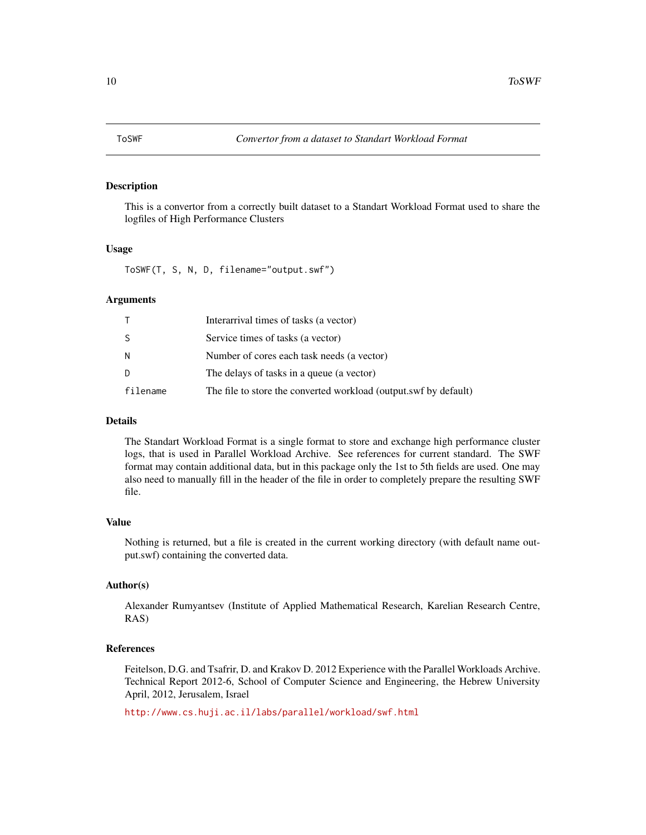# <span id="page-9-1"></span><span id="page-9-0"></span>Description

This is a convertor from a correctly built dataset to a Standart Workload Format used to share the logfiles of High Performance Clusters

# Usage

ToSWF(T, S, N, D, filename="output.swf")

# Arguments

|          | Interarrival times of tasks (a vector)                           |
|----------|------------------------------------------------------------------|
| S        | Service times of tasks (a vector)                                |
| N        | Number of cores each task needs (a vector)                       |
| D        | The delays of tasks in a queue (a vector)                        |
| filename | The file to store the converted workload (output.swf by default) |

# Details

The Standart Workload Format is a single format to store and exchange high performance cluster logs, that is used in Parallel Workload Archive. See references for current standard. The SWF format may contain additional data, but in this package only the 1st to 5th fields are used. One may also need to manually fill in the header of the file in order to completely prepare the resulting SWF file.

# Value

Nothing is returned, but a file is created in the current working directory (with default name output.swf) containing the converted data.

# Author(s)

Alexander Rumyantsev (Institute of Applied Mathematical Research, Karelian Research Centre, RAS)

# References

Feitelson, D.G. and Tsafrir, D. and Krakov D. 2012 Experience with the Parallel Workloads Archive. Technical Report 2012-6, School of Computer Science and Engineering, the Hebrew University April, 2012, Jerusalem, Israel

<http://www.cs.huji.ac.il/labs/parallel/workload/swf.html>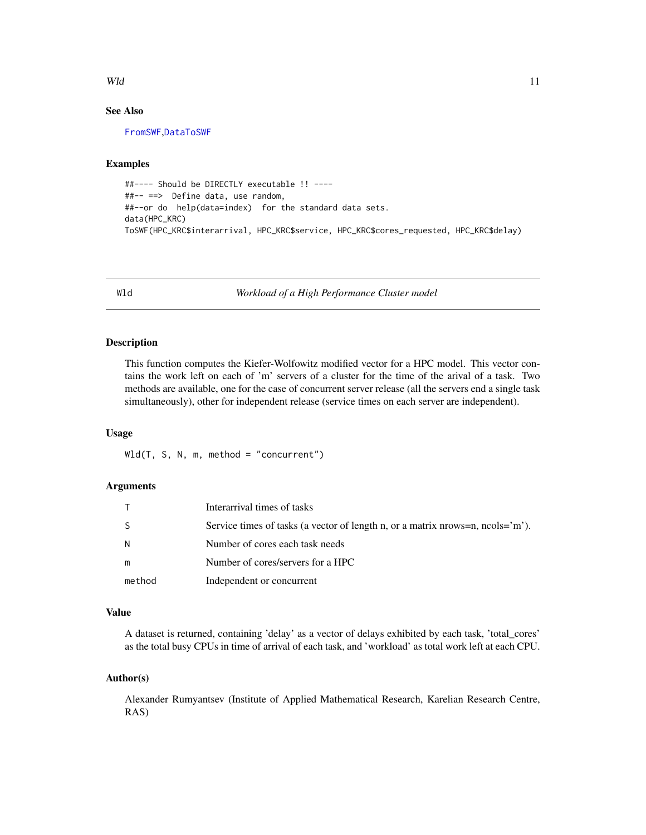# <span id="page-10-0"></span> $Wld$  11

# See Also

[FromSWF](#page-5-1),[DataToSWF](#page-3-1)

## Examples

```
##---- Should be DIRECTLY executable !! ----
##-- ==> Define data, use random,
##--or do help(data=index) for the standard data sets.
data(HPC_KRC)
ToSWF(HPC_KRC$interarrival, HPC_KRC$service, HPC_KRC$cores_requested, HPC_KRC$delay)
```
Wld *Workload of a High Performance Cluster model*

# Description

This function computes the Kiefer-Wolfowitz modified vector for a HPC model. This vector contains the work left on each of 'm' servers of a cluster for the time of the arival of a task. Two methods are available, one for the case of concurrent server release (all the servers end a single task simultaneously), other for independent release (service times on each server are independent).

# Usage

Wld(T, S, N, m, method = "concurrent")

# Arguments

| T.     | Interarrival times of tasks                                                      |
|--------|----------------------------------------------------------------------------------|
| S      | Service times of tasks (a vector of length n, or a matrix nrows=n, $ncols="m$ ). |
| N      | Number of cores each task needs                                                  |
| m      | Number of cores/servers for a HPC                                                |
| method | Independent or concurrent                                                        |

# Value

A dataset is returned, containing 'delay' as a vector of delays exhibited by each task, 'total\_cores' as the total busy CPUs in time of arrival of each task, and 'workload' as total work left at each CPU.

# Author(s)

Alexander Rumyantsev (Institute of Applied Mathematical Research, Karelian Research Centre, RAS)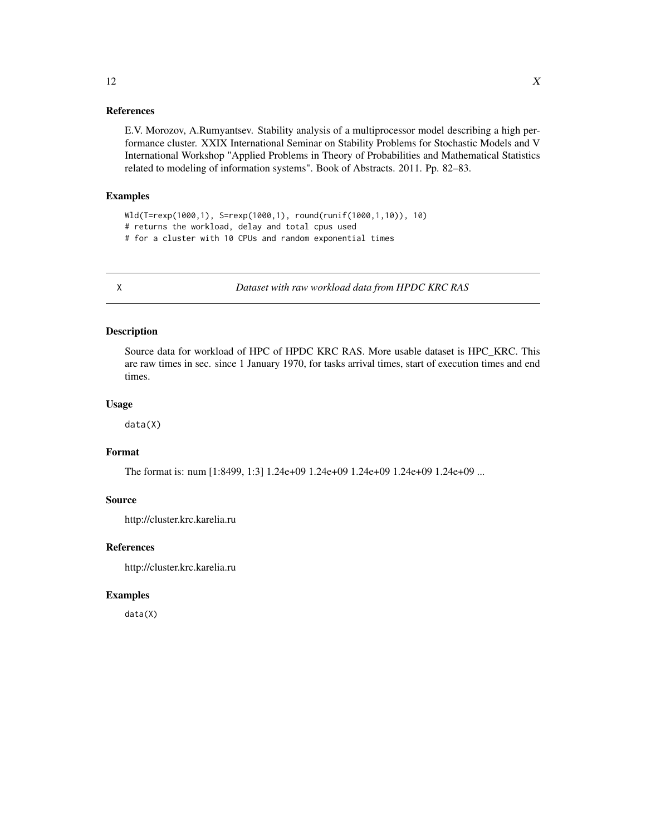# <span id="page-11-0"></span>References

E.V. Morozov, A.Rumyantsev. Stability analysis of a multiprocessor model describing a high performance cluster. XXIX International Seminar on Stability Problems for Stochastic Models and V International Workshop "Applied Problems in Theory of Probabilities and Mathematical Statistics related to modeling of information systems". Book of Abstracts. 2011. Pp. 82–83.

# Examples

Wld(T=rexp(1000,1), S=rexp(1000,1), round(runif(1000,1,10)), 10) # returns the workload, delay and total cpus used # for a cluster with 10 CPUs and random exponential times

X *Dataset with raw workload data from HPDC KRC RAS*

# Description

Source data for workload of HPC of HPDC KRC RAS. More usable dataset is HPC\_KRC. This are raw times in sec. since 1 January 1970, for tasks arrival times, start of execution times and end times.

# Usage

data(X)

# Format

The format is: num [1:8499, 1:3] 1.24e+09 1.24e+09 1.24e+09 1.24e+09 1.24e+09 ...

# Source

http://cluster.krc.karelia.ru

# References

http://cluster.krc.karelia.ru

#### Examples

data(X)